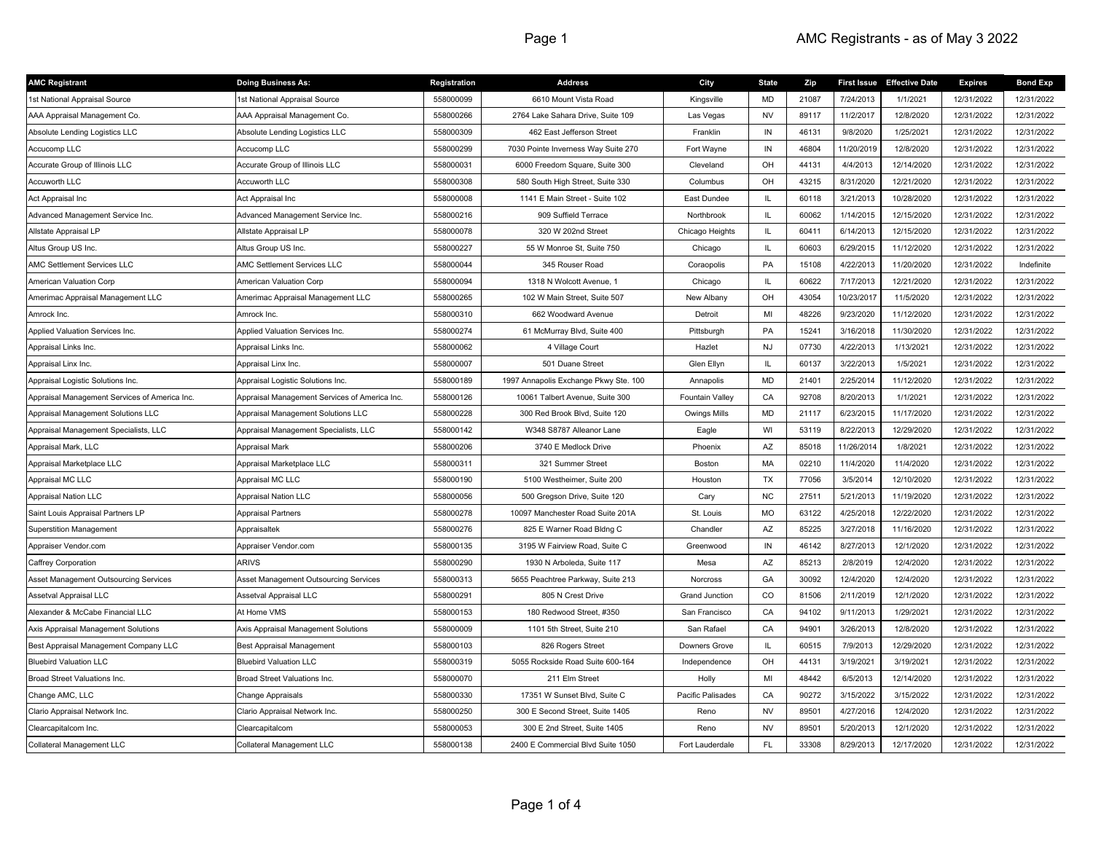| <b>AMC Registrant</b>                         | <b>Doing Business As:</b>                     | Registration | <b>Address</b>                        | City                   | <b>State</b>  | Zip   |            | First Issue Effective Date | <b>Expires</b> | <b>Bond Exp</b> |
|-----------------------------------------------|-----------------------------------------------|--------------|---------------------------------------|------------------------|---------------|-------|------------|----------------------------|----------------|-----------------|
| 1st National Appraisal Source                 | 1st National Appraisal Source                 | 558000099    | 6610 Mount Vista Road                 | Kingsville             | MD            | 21087 | 7/24/2013  | 1/1/2021                   | 12/31/2022     | 12/31/2022      |
| AAA Appraisal Management Co.                  | AAA Appraisal Management Co.                  | 558000266    | 2764 Lake Sahara Drive, Suite 109     | Las Vegas              | <b>NV</b>     | 89117 | 11/2/2017  | 12/8/2020                  | 12/31/2022     | 12/31/2022      |
| Absolute Lending Logistics LLC                | Absolute Lending Logistics LLC                | 558000309    | 462 East Jefferson Street             | Franklin               | IN            | 46131 | 9/8/2020   | 1/25/2021                  | 12/31/2022     | 12/31/2022      |
| Accucomp LLC                                  | Accucomp LLC                                  | 558000299    | 7030 Pointe Inverness Way Suite 270   | Fort Wayne             | IN            | 46804 | 11/20/2019 | 12/8/2020                  | 12/31/2022     | 12/31/2022      |
| Accurate Group of Illinois LLC                | Accurate Group of Illinois LLC                | 558000031    | 6000 Freedom Square, Suite 300        | Cleveland              | OH            | 44131 | 4/4/2013   | 12/14/2020                 | 12/31/2022     | 12/31/2022      |
| Accuworth LLC                                 | Accuworth LLC                                 | 558000308    | 580 South High Street, Suite 330      | Columbus               | OH            | 43215 | 8/31/2020  | 12/21/2020                 | 12/31/2022     | 12/31/2022      |
| Act Appraisal Inc                             | Act Appraisal Inc                             | 558000008    | 1141 E Main Street - Suite 102        | East Dundee            | IL.           | 60118 | 3/21/2013  | 10/28/2020                 | 12/31/2022     | 12/31/2022      |
| Advanced Management Service Inc.              | Advanced Management Service Inc.              | 558000216    | 909 Suffield Terrace                  | Northbrook             | IL.           | 60062 | 1/14/2015  | 12/15/2020                 | 12/31/2022     | 12/31/2022      |
| Allstate Appraisal LP                         | Allstate Appraisal LP                         | 558000078    | 320 W 202nd Street                    | Chicago Heights        | IL.           | 60411 | 6/14/2013  | 12/15/2020                 | 12/31/2022     | 12/31/2022      |
| Altus Group US Inc.                           | Altus Group US Inc.                           | 558000227    | 55 W Monroe St, Suite 750             | Chicago                | IL.           | 60603 | 6/29/2015  | 11/12/2020                 | 12/31/2022     | 12/31/2022      |
| AMC Settlement Services LLC                   | AMC Settlement Services LLC                   | 558000044    | 345 Rouser Road                       | Coraopolis             | PA            | 15108 | 4/22/2013  | 11/20/2020                 | 12/31/2022     | Indefinite      |
| American Valuation Corp                       | American Valuation Corp                       | 558000094    | 1318 N Wolcott Avenue, 1              | Chicago                | IL.           | 60622 | 7/17/2013  | 12/21/2020                 | 12/31/2022     | 12/31/2022      |
| Amerimac Appraisal Management LLC             | Amerimac Appraisal Management LLC             | 558000265    | 102 W Main Street, Suite 507          | New Albany             | OH            | 43054 | 10/23/2017 | 11/5/2020                  | 12/31/2022     | 12/31/2022      |
| Amrock Inc.                                   | Amrock Inc.                                   | 558000310    | 662 Woodward Avenue                   | Detroit                | MI            | 48226 | 9/23/2020  | 11/12/2020                 | 12/31/2022     | 12/31/2022      |
| Applied Valuation Services Inc.               | Applied Valuation Services Inc.               | 558000274    | 61 McMurray Blvd, Suite 400           | Pittsburgh             | PA            | 15241 | 3/16/2018  | 11/30/2020                 | 12/31/2022     | 12/31/2022      |
| Appraisal Links Inc.                          | Appraisal Links Inc.                          | 558000062    | 4 Village Court                       | Hazlet                 | NJ            | 07730 | 4/22/2013  | 1/13/2021                  | 12/31/2022     | 12/31/2022      |
| Appraisal Linx Inc.                           | Appraisal Linx Inc.                           | 558000007    | 501 Duane Street                      | Glen Ellyn             | IL.           | 60137 | 3/22/2013  | 1/5/2021                   | 12/31/2022     | 12/31/2022      |
| Appraisal Logistic Solutions Inc.             | Appraisal Logistic Solutions Inc.             | 558000189    | 1997 Annapolis Exchange Pkwy Ste. 100 | Annapolis              | MD            | 21401 | 2/25/2014  | 11/12/2020                 | 12/31/2022     | 12/31/2022      |
| Appraisal Management Services of America Inc. | Appraisal Management Services of America Inc. | 558000126    | 10061 Talbert Avenue, Suite 300       | <b>Fountain Valley</b> | CA            | 92708 | 8/20/2013  | 1/1/2021                   | 12/31/2022     | 12/31/2022      |
| Appraisal Management Solutions LLC            | Appraisal Management Solutions LLC            | 558000228    | 300 Red Brook Blvd, Suite 120         | Owings Mills           | <b>MD</b>     | 21117 | 6/23/2015  | 11/17/2020                 | 12/31/2022     | 12/31/2022      |
| Appraisal Management Specialists, LLC         | Appraisal Management Specialists, LLC         | 558000142    | W348 S8787 Alleanor Lane              | Eagle                  | WI            | 53119 | 8/22/2013  | 12/29/2020                 | 12/31/2022     | 12/31/2022      |
| Appraisal Mark, LLC                           | Appraisal Mark                                | 558000206    | 3740 E Medlock Drive                  | Phoenix                | AZ            | 85018 | 11/26/2014 | 1/8/2021                   | 12/31/2022     | 12/31/2022      |
| Appraisal Marketplace LLC                     | Appraisal Marketplace LLC                     | 558000311    | 321 Summer Street                     | Boston                 | МA            | 02210 | 11/4/2020  | 11/4/2020                  | 12/31/2022     | 12/31/2022      |
| Appraisal MC LLC                              | Appraisal MC LLC                              | 558000190    | 5100 Westheimer, Suite 200            | Houston                | <b>TX</b>     | 77056 | 3/5/2014   | 12/10/2020                 | 12/31/2022     | 12/31/2022      |
| <b>Appraisal Nation LLC</b>                   | <b>Appraisal Nation LLC</b>                   | 558000056    | 500 Gregson Drive, Suite 120          | Cary                   | <b>NC</b>     | 27511 | 5/21/2013  | 11/19/2020                 | 12/31/2022     | 12/31/2022      |
| Saint Louis Appraisal Partners LP             | Appraisal Partners                            | 558000278    | 10097 Manchester Road Suite 201A      | St. Louis              | MO            | 63122 | 4/25/2018  | 12/22/2020                 | 12/31/2022     | 12/31/2022      |
| Superstition Management                       | Appraisaltek                                  | 558000276    | 825 E Warner Road Bldng C             | Chandler               | AZ            | 85225 | 3/27/2018  | 11/16/2020                 | 12/31/2022     | 12/31/2022      |
| Appraiser Vendor.com                          | Appraiser Vendor.com                          | 558000135    | 3195 W Fairview Road, Suite C         | Greenwood              | IN            | 46142 | 8/27/2013  | 12/1/2020                  | 12/31/2022     | 12/31/2022      |
| Caffrey Corporation                           | <b>ARIVS</b>                                  | 558000290    | 1930 N Arboleda, Suite 117            | Mesa                   | AZ            | 85213 | 2/8/2019   | 12/4/2020                  | 12/31/2022     | 12/31/2022      |
| Asset Management Outsourcing Services         | Asset Management Outsourcing Services         | 558000313    | 5655 Peachtree Parkway, Suite 213     | Norcross               | GA            | 30092 | 12/4/2020  | 12/4/2020                  | 12/31/2022     | 12/31/2022      |
| Assetval Appraisal LLC                        | Assetval Appraisal LLC                        | 558000291    | 805 N Crest Drive                     | <b>Grand Junction</b>  | CO            | 81506 | 2/11/2019  | 12/1/2020                  | 12/31/2022     | 12/31/2022      |
| Alexander & McCabe Financial LLC              | At Home VMS                                   | 558000153    | 180 Redwood Street, #350              | San Francisco          | CA            | 94102 | 9/11/2013  | 1/29/2021                  | 12/31/2022     | 12/31/2022      |
| Axis Appraisal Management Solutions           | Axis Appraisal Management Solutions           | 558000009    | 1101 5th Street, Suite 210            | San Rafael             | CA            | 94901 | 3/26/2013  | 12/8/2020                  | 12/31/2022     | 12/31/2022      |
| Best Appraisal Management Company LLC         | Best Appraisal Management                     | 558000103    | 826 Rogers Street                     | Downers Grove          | $\mathsf{IL}$ | 60515 | 7/9/2013   | 12/29/2020                 | 12/31/2022     | 12/31/2022      |
| <b>Bluebird Valuation LLC</b>                 | <b>Bluebird Valuation LLC</b>                 | 558000319    | 5055 Rockside Road Suite 600-164      | Independence           | OH            | 44131 | 3/19/2021  | 3/19/2021                  | 12/31/2022     | 12/31/2022      |
| <b>Broad Street Valuations Inc.</b>           | Broad Street Valuations Inc.                  | 558000070    | 211 Elm Street                        | Holly                  | MI            | 48442 | 6/5/2013   | 12/14/2020                 | 12/31/2022     | 12/31/2022      |
| Change AMC, LLC                               | Change Appraisals                             | 558000330    | 17351 W Sunset Blvd, Suite C          | Pacific Palisades      | CA            | 90272 | 3/15/2022  | 3/15/2022                  | 12/31/2022     | 12/31/2022      |
| Clario Appraisal Network Inc.                 | Clario Appraisal Network Inc.                 | 558000250    | 300 E Second Street, Suite 1405       | Reno                   | <b>NV</b>     | 89501 | 4/27/2016  | 12/4/2020                  | 12/31/2022     | 12/31/2022      |
| Clearcapitalcom Inc.                          | Clearcapitalcom                               | 558000053    | 300 E 2nd Street, Suite 1405          | Reno                   | <b>NV</b>     | 89501 | 5/20/2013  | 12/1/2020                  | 12/31/2022     | 12/31/2022      |
| Collateral Management LLC                     | Collateral Management LLC                     | 558000138    | 2400 E Commercial Blvd Suite 1050     | Fort Lauderdale        | FL.           | 33308 | 8/29/2013  | 12/17/2020                 | 12/31/2022     | 12/31/2022      |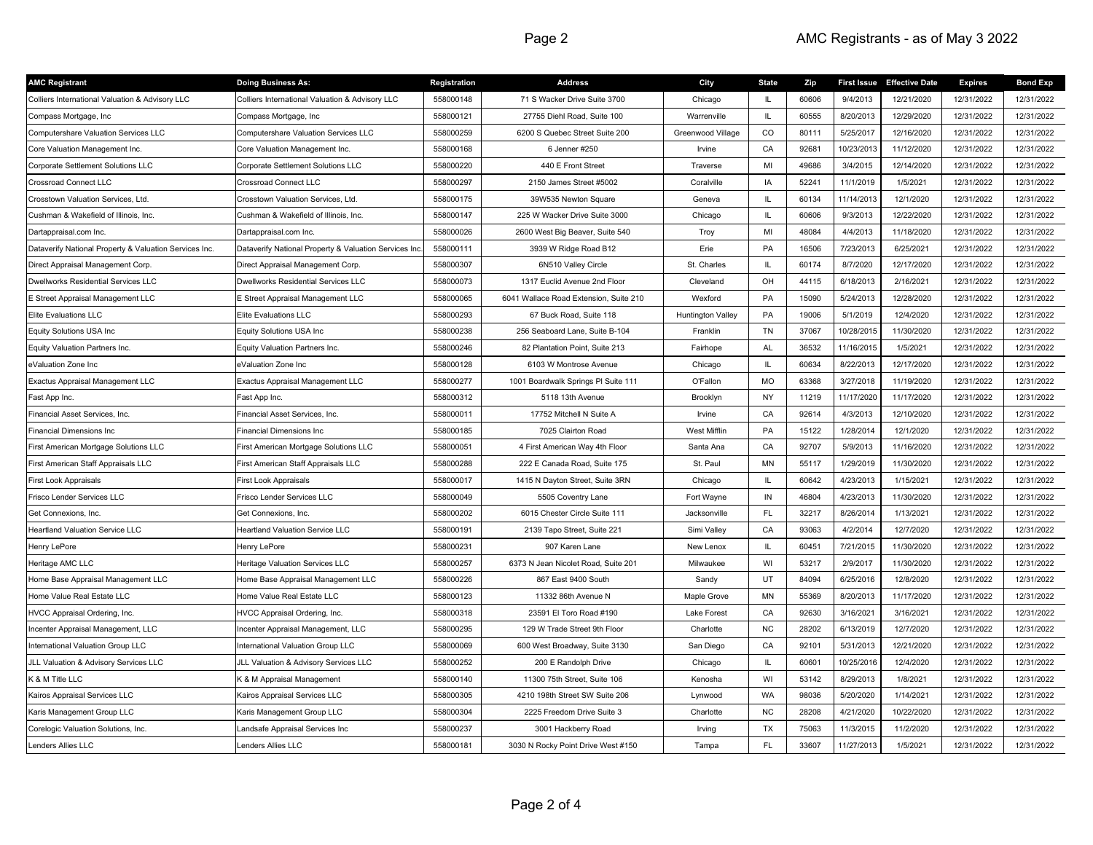| <b>AMC Registrant</b>                                  | <b>Doing Business As:</b>                             | Registration | <b>Address</b>                         | City                     | <b>State</b> | Zip   |            | First Issue Effective Date | <b>Expires</b> | <b>Bond Exp</b> |
|--------------------------------------------------------|-------------------------------------------------------|--------------|----------------------------------------|--------------------------|--------------|-------|------------|----------------------------|----------------|-----------------|
| Colliers International Valuation & Advisory LLC        | Colliers International Valuation & Advisory LLC       | 558000148    | 71 S Wacker Drive Suite 3700           | Chicago                  | IL.          | 60606 | 9/4/2013   | 12/21/2020                 | 12/31/2022     | 12/31/2022      |
| Compass Mortgage, Inc                                  | Compass Mortgage, Inc                                 | 558000121    | 27755 Diehl Road, Suite 100            | Warrenville              | IL.          | 60555 | 8/20/2013  | 12/29/2020                 | 12/31/2022     | 12/31/2022      |
| Computershare Valuation Services LLC                   | Computershare Valuation Services LLC                  | 558000259    | 6200 S Quebec Street Suite 200         | Greenwood Village        | CO           | 80111 | 5/25/2017  | 12/16/2020                 | 12/31/2022     | 12/31/2022      |
| Core Valuation Management Inc.                         | Core Valuation Management Inc.                        | 558000168    | 6 Jenner #250                          | Irvine                   | CA           | 92681 | 10/23/2013 | 11/12/2020                 | 12/31/2022     | 12/31/2022      |
| Corporate Settlement Solutions LLC                     | Corporate Settlement Solutions LLC                    | 558000220    | 440 E Front Street                     | Traverse                 | MI           | 49686 | 3/4/2015   | 12/14/2020                 | 12/31/2022     | 12/31/2022      |
| Crossroad Connect LLC                                  | Crossroad Connect LLC                                 | 558000297    | 2150 James Street #5002                | Coralville               | IA           | 52241 | 11/1/2019  | 1/5/2021                   | 12/31/2022     | 12/31/2022      |
| Crosstown Valuation Services, Ltd.                     | Crosstown Valuation Services, Ltd.                    | 558000175    | 39W535 Newton Square                   | Geneva                   | IL.          | 60134 | 11/14/2013 | 12/1/2020                  | 12/31/2022     | 12/31/2022      |
| Cushman & Wakefield of Illinois, Inc.                  | Cushman & Wakefield of Illinois, Inc.                 | 558000147    | 225 W Wacker Drive Suite 3000          | Chicago                  | IL.          | 60606 | 9/3/2013   | 12/22/2020                 | 12/31/2022     | 12/31/2022      |
| Dartappraisal.com Inc.                                 | Dartappraisal.com Inc.                                | 558000026    | 2600 West Big Beaver, Suite 540        | Troy                     | MI           | 48084 | 4/4/2013   | 11/18/2020                 | 12/31/2022     | 12/31/2022      |
| Dataverify National Property & Valuation Services Inc. | Dataverify National Property & Valuation Services Ind | 558000111    | 3939 W Ridge Road B12                  | Erie                     | PA           | 16506 | 7/23/2013  | 6/25/2021                  | 12/31/2022     | 12/31/2022      |
| Direct Appraisal Management Corp.                      | Direct Appraisal Management Corp.                     | 558000307    | 6N510 Valley Circle                    | St. Charles              | IL.          | 60174 | 8/7/2020   | 12/17/2020                 | 12/31/2022     | 12/31/2022      |
| Dwellworks Residential Services LLC                    | Dwellworks Residential Services LLC                   | 558000073    | 1317 Euclid Avenue 2nd Floor           | Cleveland                | OH           | 44115 | 6/18/2013  | 2/16/2021                  | 12/31/2022     | 12/31/2022      |
| E Street Appraisal Management LLC                      | E Street Appraisal Management LLC                     | 558000065    | 6041 Wallace Road Extension, Suite 210 | Wexford                  | PA           | 15090 | 5/24/2013  | 12/28/2020                 | 12/31/2022     | 12/31/2022      |
| Elite Evaluations LLC                                  | Elite Evaluations LLC                                 | 558000293    | 67 Buck Road, Suite 118                | <b>Huntington Valley</b> | PA           | 19006 | 5/1/2019   | 12/4/2020                  | 12/31/2022     | 12/31/2022      |
| Equity Solutions USA Inc                               | Equity Solutions USA Inc                              | 558000238    | 256 Seaboard Lane, Suite B-104         | Franklin                 | TN           | 37067 | 10/28/201  | 11/30/2020                 | 12/31/2022     | 12/31/2022      |
| Equity Valuation Partners Inc.                         | Equity Valuation Partners Inc.                        | 558000246    | 82 Plantation Point, Suite 213         | Fairhope                 | <b>AL</b>    | 36532 | 11/16/2015 | 1/5/2021                   | 12/31/2022     | 12/31/2022      |
| eValuation Zone Inc                                    | eValuation Zone Inc                                   | 558000128    | 6103 W Montrose Avenue                 | Chicago                  | IL.          | 60634 | 8/22/2013  | 12/17/2020                 | 12/31/2022     | 12/31/2022      |
| Exactus Appraisal Management LLC                       | Exactus Appraisal Management LLC                      | 558000277    | 1001 Boardwalk Springs PI Suite 111    | O'Fallon                 | <b>MO</b>    | 63368 | 3/27/2018  | 11/19/2020                 | 12/31/2022     | 12/31/2022      |
| Fast App Inc.                                          | Fast App Inc.                                         | 558000312    | 5118 13th Avenue                       | Brooklyn                 | <b>NY</b>    | 11219 | 11/17/2020 | 11/17/2020                 | 12/31/2022     | 12/31/2022      |
| Financial Asset Services, Inc.                         | Financial Asset Services, Inc                         | 558000011    | 17752 Mitchell N Suite A               | Irvine                   | CA           | 92614 | 4/3/2013   | 12/10/2020                 | 12/31/2022     | 12/31/2022      |
| Financial Dimensions Inc                               | Financial Dimensions Inc                              | 558000185    | 7025 Clairton Road                     | West Mifflin             | PA           | 15122 | 1/28/2014  | 12/1/2020                  | 12/31/2022     | 12/31/2022      |
| First American Mortgage Solutions LLC                  | First American Mortgage Solutions LLC                 | 558000051    | 4 First American Way 4th Floor         | Santa Ana                | CA           | 92707 | 5/9/2013   | 11/16/2020                 | 12/31/2022     | 12/31/2022      |
| First American Staff Appraisals LLC                    | First American Staff Appraisals LLC                   | 558000288    | 222 E Canada Road, Suite 175           | St. Paul                 | MN           | 55117 | 1/29/2019  | 11/30/2020                 | 12/31/2022     | 12/31/2022      |
| First Look Appraisals                                  | First Look Appraisals                                 | 558000017    | 1415 N Dayton Street, Suite 3RN        | Chicago                  | IL.          | 60642 | 4/23/2013  | 1/15/2021                  | 12/31/2022     | 12/31/2022      |
| Frisco Lender Services LLC                             | Frisco Lender Services LLC                            | 558000049    | 5505 Coventry Lane                     | Fort Wayne               | $\sf IN$     | 46804 | 4/23/2013  | 11/30/2020                 | 12/31/2022     | 12/31/2022      |
| Get Connexions, Inc.                                   | Get Connexions, Inc.                                  | 558000202    | 6015 Chester Circle Suite 111          | Jacksonville             | FL.          | 32217 | 8/26/2014  | 1/13/2021                  | 12/31/2022     | 12/31/2022      |
| Heartland Valuation Service LLC                        | Heartland Valuation Service LLC                       | 558000191    | 2139 Tapo Street, Suite 221            | Simi Valley              | CA           | 93063 | 4/2/2014   | 12/7/2020                  | 12/31/2022     | 12/31/2022      |
| Henry LePore                                           | Henry LePore                                          | 558000231    | 907 Karen Lane                         | New Lenox                | IL.          | 60451 | 7/21/2015  | 11/30/2020                 | 12/31/2022     | 12/31/2022      |
| Heritage AMC LLC                                       | Heritage Valuation Services LLC                       | 558000257    | 6373 N Jean Nicolet Road, Suite 201    | Milwaukee                | WI           | 53217 | 2/9/2017   | 11/30/2020                 | 12/31/2022     | 12/31/2022      |
| Home Base Appraisal Management LLC                     | Home Base Appraisal Management LLC                    | 558000226    | 867 East 9400 South                    | Sandy                    | UT           | 84094 | 6/25/2016  | 12/8/2020                  | 12/31/2022     | 12/31/2022      |
| Home Value Real Estate LLC                             | Home Value Real Estate LLC                            | 558000123    | 11332 86th Avenue N                    | Maple Grove              | <b>MN</b>    | 55369 | 8/20/2013  | 11/17/2020                 | 12/31/2022     | 12/31/2022      |
| HVCC Appraisal Ordering, Inc.                          | HVCC Appraisal Ordering, Inc.                         | 558000318    | 23591 El Toro Road #190                | Lake Forest              | CA           | 92630 | 3/16/2021  | 3/16/2021                  | 12/31/2022     | 12/31/2022      |
| Incenter Appraisal Management, LLC                     | Incenter Appraisal Management, LLC                    | 558000295    | 129 W Trade Street 9th Floor           | Charlotte                | <b>NC</b>    | 28202 | 6/13/2019  | 12/7/2020                  | 12/31/2022     | 12/31/2022      |
| International Valuation Group LLC                      | nternational Valuation Group LLC                      | 558000069    | 600 West Broadway, Suite 3130          | San Diego                | CA           | 92101 | 5/31/2013  | 12/21/2020                 | 12/31/2022     | 12/31/2022      |
| JLL Valuation & Advisory Services LLC                  | JLL Valuation & Advisory Services LLC                 | 558000252    | 200 E Randolph Drive                   | Chicago                  | IL.          | 60601 | 10/25/2016 | 12/4/2020                  | 12/31/2022     | 12/31/2022      |
| K & M Title LLC                                        | K & M Appraisal Management                            | 558000140    | 11300 75th Street, Suite 106           | Kenosha                  | WI           | 53142 | 8/29/2013  | 1/8/2021                   | 12/31/2022     | 12/31/2022      |
| Kairos Appraisal Services LLC                          | Kairos Appraisal Services LLC                         | 558000305    | 4210 198th Street SW Suite 206         | Lynwood                  | <b>WA</b>    | 98036 | 5/20/2020  | 1/14/2021                  | 12/31/2022     | 12/31/2022      |
| Karis Management Group LLC                             | Karis Management Group LLC                            | 558000304    | 2225 Freedom Drive Suite 3             | Charlotte                | <b>NC</b>    | 28208 | 4/21/2020  | 10/22/2020                 | 12/31/2022     | 12/31/2022      |
| Corelogic Valuation Solutions, Inc.                    | andsafe Appraisal Services Inc                        | 558000237    | 3001 Hackberry Road                    | Irving                   | TX           | 75063 | 11/3/2015  | 11/2/2020                  | 12/31/2022     | 12/31/2022      |
| Lenders Allies LLC                                     | enders Allies LLC                                     | 558000181    | 3030 N Rocky Point Drive West #150     | Tampa                    | FL.          | 33607 | 11/27/2013 | 1/5/2021                   | 12/31/2022     | 12/31/2022      |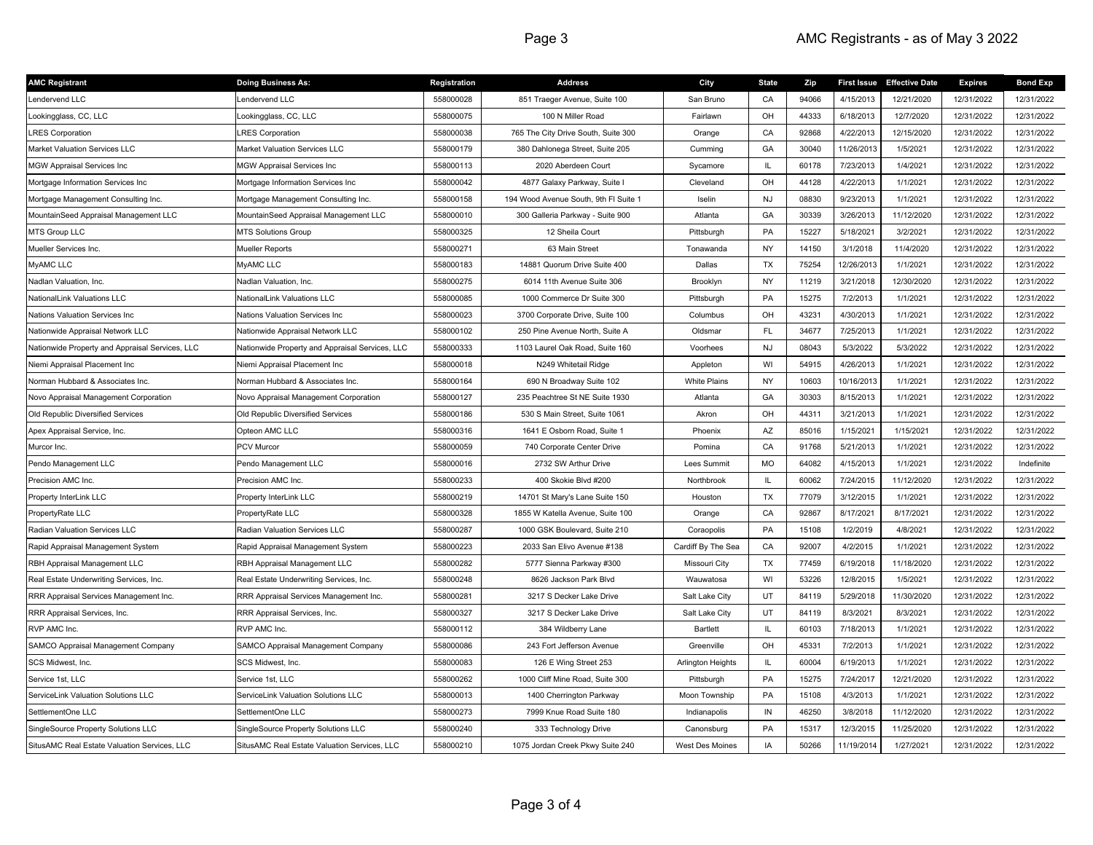| <b>AMC Registrant</b>                           | <b>Doing Business As:</b>                       | Registration | <b>Address</b>                        | City                     | <b>State</b> | Zip   |            | First Issue Effective Date | <b>Expires</b> | <b>Bond Exp</b> |
|-------------------------------------------------|-------------------------------------------------|--------------|---------------------------------------|--------------------------|--------------|-------|------------|----------------------------|----------------|-----------------|
| Lendervend LLC                                  | endervend LLC                                   | 558000028    | 851 Traeger Avenue, Suite 100         | San Bruno                | CA           | 94066 | 4/15/2013  | 12/21/2020                 | 12/31/2022     | 12/31/2022      |
| Lookingglass, CC, LLC                           | ookingglass, CC, LLC                            | 558000075    | 100 N Miller Road                     | Fairlawn                 | OH           | 44333 | 6/18/2013  | 12/7/2020                  | 12/31/2022     | 12/31/2022      |
| <b>LRES Corporation</b>                         | <b>RES Corporation</b>                          | 558000038    | 765 The City Drive South, Suite 300   | Orange                   | CA           | 92868 | 4/22/2013  | 12/15/2020                 | 12/31/2022     | 12/31/2022      |
| Market Valuation Services LLC                   | Market Valuation Services LLC                   | 558000179    | 380 Dahlonega Street, Suite 205       | Cumming                  | GA           | 30040 | 11/26/2013 | 1/5/2021                   | 12/31/2022     | 12/31/2022      |
| <b>MGW Appraisal Services Inc</b>               | <b>MGW Appraisal Services Inc</b>               | 558000113    | 2020 Aberdeen Court                   | Sycamore                 | IL.          | 60178 | 7/23/2013  | 1/4/2021                   | 12/31/2022     | 12/31/2022      |
| Mortgage Information Services Inc               | Mortgage Information Services Inc               | 558000042    | 4877 Galaxy Parkway, Suite I          | Cleveland                | OH           | 44128 | 4/22/2013  | 1/1/2021                   | 12/31/2022     | 12/31/2022      |
| Mortgage Management Consulting Inc.             | Mortgage Management Consulting Inc.             | 558000158    | 194 Wood Avenue South, 9th FI Suite 1 | Iselin                   | <b>NJ</b>    | 08830 | 9/23/2013  | 1/1/2021                   | 12/31/2022     | 12/31/2022      |
| MountainSeed Appraisal Management LLC           | MountainSeed Appraisal Management LLC           | 558000010    | 300 Galleria Parkway - Suite 900      | Atlanta                  | GA           | 30339 | 3/26/2013  | 11/12/2020                 | 12/31/2022     | 12/31/2022      |
| <b>MTS Group LLC</b>                            | <b>MTS Solutions Group</b>                      | 558000325    | 12 Sheila Court                       | Pittsburgh               | PA           | 15227 | 5/18/2021  | 3/2/2021                   | 12/31/2022     | 12/31/2022      |
| Mueller Services Inc.                           | Mueller Reports                                 | 558000271    | 63 Main Street                        | Tonawanda                | <b>NY</b>    | 14150 | 3/1/2018   | 11/4/2020                  | 12/31/2022     | 12/31/2022      |
| MyAMC LLC                                       | MyAMC LLC                                       | 558000183    | 14881 Quorum Drive Suite 400          | Dallas                   | <b>TX</b>    | 75254 | 12/26/2013 | 1/1/2021                   | 12/31/2022     | 12/31/2022      |
| Nadlan Valuation, Inc.                          | Nadlan Valuation, Inc.                          | 558000275    | 6014 11th Avenue Suite 306            | Brooklyn                 | <b>NY</b>    | 11219 | 3/21/2018  | 12/30/2020                 | 12/31/2022     | 12/31/2022      |
| NationalLink Valuations LLC                     | NationalLink Valuations LLC                     | 558000085    | 1000 Commerce Dr Suite 300            | Pittsburgh               | PA           | 15275 | 7/2/2013   | 1/1/2021                   | 12/31/2022     | 12/31/2022      |
| Nations Valuation Services Inc                  | Nations Valuation Services Inc                  | 558000023    | 3700 Corporate Drive, Suite 100       | Columbus                 | OH           | 43231 | 4/30/2013  | 1/1/2021                   | 12/31/2022     | 12/31/2022      |
| Nationwide Appraisal Network LLC                | Nationwide Appraisal Network LLC                | 558000102    | 250 Pine Avenue North, Suite A        | Oldsmar                  | <b>FL</b>    | 34677 | 7/25/2013  | 1/1/2021                   | 12/31/2022     | 12/31/2022      |
| Nationwide Property and Appraisal Services, LLC | Nationwide Property and Appraisal Services, LLC | 558000333    | 1103 Laurel Oak Road, Suite 160       | Voorhees                 | <b>NJ</b>    | 08043 | 5/3/2022   | 5/3/2022                   | 12/31/2022     | 12/31/2022      |
| Niemi Appraisal Placement Inc                   | Niemi Appraisal Placement Inc                   | 558000018    | N249 Whitetail Ridge                  | Appleton                 | WI           | 54915 | 4/26/2013  | 1/1/2021                   | 12/31/2022     | 12/31/2022      |
| Norman Hubbard & Associates Inc.                | Norman Hubbard & Associates Inc.                | 558000164    | 690 N Broadway Suite 102              | <b>White Plains</b>      | <b>NY</b>    | 10603 | 10/16/2013 | 1/1/2021                   | 12/31/2022     | 12/31/2022      |
| Novo Appraisal Management Corporation           | Novo Appraisal Management Corporation           | 558000127    | 235 Peachtree St NE Suite 1930        | Atlanta                  | GA           | 30303 | 8/15/2013  | 1/1/2021                   | 12/31/2022     | 12/31/2022      |
| Old Republic Diversified Services               | Old Republic Diversified Services               | 558000186    | 530 S Main Street, Suite 1061         | Akron                    | OH           | 44311 | 3/21/2013  | 1/1/2021                   | 12/31/2022     | 12/31/2022      |
| Apex Appraisal Service, Inc.                    | Opteon AMC LLC                                  | 558000316    | 1641 E Osborn Road, Suite 1           | Phoenix                  | AZ           | 85016 | 1/15/2021  | 1/15/2021                  | 12/31/2022     | 12/31/2022      |
| Murcor Inc.                                     | <b>PCV Murcor</b>                               | 558000059    | 740 Corporate Center Drive            | Pomina                   | CA           | 91768 | 5/21/2013  | 1/1/2021                   | 12/31/2022     | 12/31/2022      |
| Pendo Management LLC                            | Pendo Management LLC                            | 558000016    | 2732 SW Arthur Drive                  | Lees Summit              | MO           | 64082 | 4/15/2013  | 1/1/2021                   | 12/31/2022     | Indefinite      |
| Precision AMC Inc.                              | Precision AMC Inc.                              | 558000233    | 400 Skokie Blvd #200                  | Northbrook               | IL.          | 60062 | 7/24/2015  | 11/12/2020                 | 12/31/2022     | 12/31/2022      |
| Property InterLink LLC                          | Property InterLink LLC                          | 558000219    | 14701 St Mary's Lane Suite 150        | Houston                  | <b>TX</b>    | 77079 | 3/12/2015  | 1/1/2021                   | 12/31/2022     | 12/31/2022      |
| PropertyRate LLC                                | PropertyRate LLC                                | 558000328    | 1855 W Katella Avenue, Suite 100      | Orange                   | CA           | 92867 | 8/17/2021  | 8/17/2021                  | 12/31/2022     | 12/31/2022      |
| Radian Valuation Services LLC                   | Radian Valuation Services LLC                   | 558000287    | 1000 GSK Boulevard, Suite 210         | Coraopolis               | PA           | 15108 | 1/2/2019   | 4/8/2021                   | 12/31/2022     | 12/31/2022      |
| Rapid Appraisal Management System               | Rapid Appraisal Management System               | 558000223    | 2033 San Elivo Avenue #138            | Cardiff By The Sea       | CA           | 92007 | 4/2/2015   | 1/1/2021                   | 12/31/2022     | 12/31/2022      |
| RBH Appraisal Management LLC                    | RBH Appraisal Management LLC                    | 558000282    | 5777 Sienna Parkway #300              | Missouri City            | TX           | 77459 | 6/19/2018  | 11/18/2020                 | 12/31/2022     | 12/31/2022      |
| Real Estate Underwriting Services, Inc.         | Real Estate Underwriting Services, Inc.         | 558000248    | 8626 Jackson Park Blvd                | Wauwatosa                | WI           | 53226 | 12/8/2015  | 1/5/2021                   | 12/31/2022     | 12/31/2022      |
| RRR Appraisal Services Management Inc.          | RRR Appraisal Services Management Inc.          | 558000281    | 3217 S Decker Lake Drive              | Salt Lake City           | UT           | 84119 | 5/29/2018  | 11/30/2020                 | 12/31/2022     | 12/31/2022      |
| RRR Appraisal Services, Inc.                    | RRR Appraisal Services, Inc.                    | 558000327    | 3217 S Decker Lake Drive              | Salt Lake City           | UT           | 84119 | 8/3/2021   | 8/3/2021                   | 12/31/2022     | 12/31/2022      |
| RVP AMC Inc.                                    | RVP AMC Inc.                                    | 558000112    | 384 Wildberry Lane                    | Bartlett                 | IL.          | 60103 | 7/18/2013  | 1/1/2021                   | 12/31/2022     | 12/31/2022      |
| SAMCO Appraisal Management Company              | SAMCO Appraisal Management Company              | 558000086    | 243 Fort Jefferson Avenue             | Greenville               | OH           | 45331 | 7/2/2013   | 1/1/2021                   | 12/31/2022     | 12/31/2022      |
| SCS Midwest, Inc.                               | SCS Midwest, Inc.                               | 558000083    | 126 E Wing Street 253                 | <b>Arlington Heights</b> | IL.          | 60004 | 6/19/2013  | 1/1/2021                   | 12/31/2022     | 12/31/2022      |
| Service 1st. LLC                                | Service 1st. LLC                                | 558000262    | 1000 Cliff Mine Road, Suite 300       | Pittsburgh               | PA           | 15275 | 7/24/2017  | 12/21/2020                 | 12/31/2022     | 12/31/2022      |
| ServiceLink Valuation Solutions LLC             | ServiceLink Valuation Solutions LLC             | 558000013    | 1400 Cherrington Parkway              | Moon Township            | PA           | 15108 | 4/3/2013   | 1/1/2021                   | 12/31/2022     | 12/31/2022      |
| SettlementOne LLC                               | SettlementOne LLC                               | 558000273    | 7999 Knue Road Suite 180              | Indianapolis             | IN           | 46250 | 3/8/2018   | 11/12/2020                 | 12/31/2022     | 12/31/2022      |
| SingleSource Property Solutions LLC             | SingleSource Property Solutions LLC             | 558000240    | 333 Technology Drive                  | Canonsburg               | PA           | 15317 | 12/3/2015  | 11/25/2020                 | 12/31/2022     | 12/31/2022      |
| SitusAMC Real Estate Valuation Services, LLC    | SitusAMC Real Estate Valuation Services, LLC    | 558000210    | 1075 Jordan Creek Pkwy Suite 240      | <b>West Des Moines</b>   | IA           | 50266 | 11/19/201  | 1/27/2021                  | 12/31/2022     | 12/31/2022      |